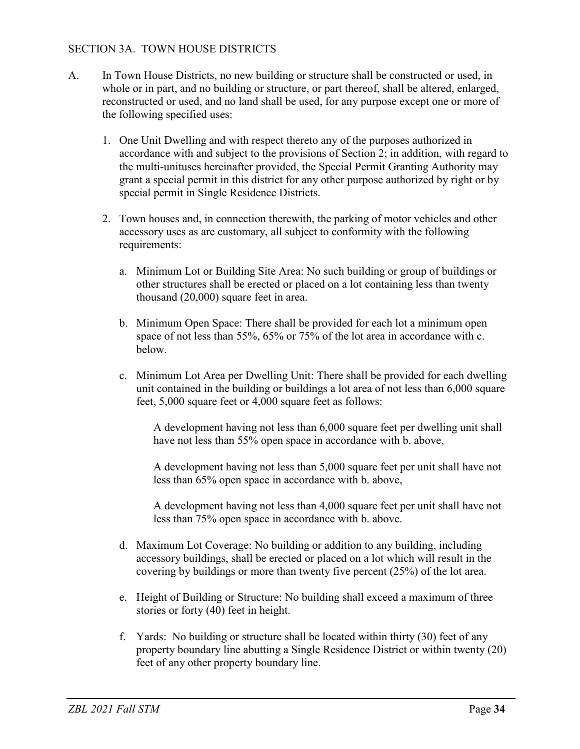## SECTION 3A. TOWN HOUSE DISTRICTS

- A. In Town House Districts, no new building or structure shall be constructed or used, in whole or in part, and no building or structure, or part thereof, shall be altered, enlarged, reconstructed or used, and no land shall be used, for any purpose except one or more of the following specified uses:
	- 1. One Unit Dwelling and with respect thereto any of the purposes authorized in accordance with and subject to the provisions of Section 2; in addition, with regard to the multi-unituses hereinafter provided, the Special Permit Granting Authority may grant a special permit in this district for any other purpose authorized by right or by special permit in Single Residence Districts.
	- 2. Town houses and, in connection therewith, the parking of motor vehicles and other accessory uses as are customary, all subject to conformity with the following requirements:
		- a. Minimum Lot or Building Site Area: No such building or group of buildings or other structures shall be erected or placed on a lot containing less than twenty thousand (20,000) square feet in area.
		- b. Minimum Open Space: There shall be provided for each lot a minimum open space of not less than 55%, 65% or 75% of the lot area in accordance with c. below.
		- c. Minimum Lot Area per Dwelling Unit: There shall be provided for each dwelling unit contained in the building or buildings a lot area of not less than 6,000 square feet, 5,000 square feet or 4,000 square feet as follows:

A development having not less than 6,000 square feet per dwelling unit shall have not less than 55% open space in accordance with b. above,

A development having not less than 5,000 square feet per unit shall have not less than 65% open space in accordance with b. above,

A development having not less than 4,000 square feet per unit shall have not less than 75% open space in accordance with b. above.

- d. Maximum Lot Coverage: No building or addition to any building, including accessory buildings, shall be erected or placed on a lot which will result in the covering by buildings or more than twenty five percent (25%) of the lot area.
- e. Height of Building or Structure: No building shall exceed a maximum of three stories or forty (40) feet in height.
- f. Yards: No building or structure shall be located within thirty (30) feet of any property boundary line abutting a Single Residence District or within twenty (20) feet of any other property boundary line.